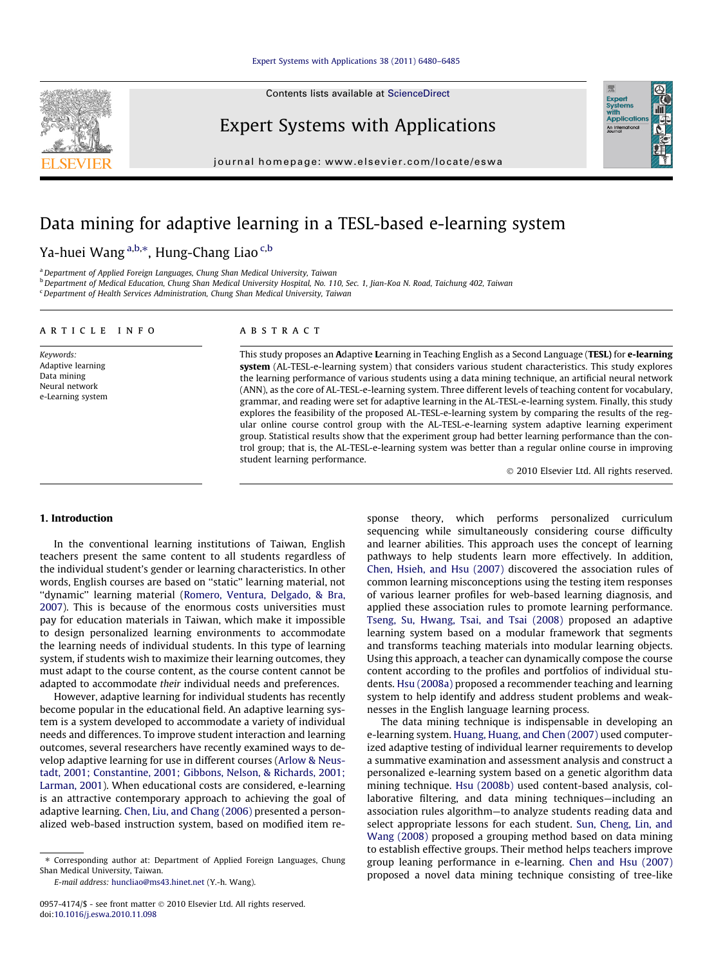Contents lists available at [ScienceDirect](http://www.sciencedirect.com/science/journal/09574174)

Expert Systems with Applications

journal homepage: [www.elsevier.com/locate/eswa](http://www.elsevier.com/locate/eswa)

## Data mining for adaptive learning in a TESL-based e-learning system

Ya-huei Wang <sup>a,b,</sup>\*, Hung-Chang Liao <sup>c,b</sup>

a Department of Applied Foreign Languages, Chung Shan Medical University, Taiwan

<sup>b</sup> Department of Medical Education, Chung Shan Medical University Hospital, No. 110, Sec. 1, Jian-Koa N. Road, Taichung 402, Taiwan

<sup>c</sup> Department of Health Services Administration, Chung Shan Medical University, Taiwan

#### article info

Keywords: Adaptive learning Data mining Neural network e-Learning system

### ABSTRACT

This study proposes an Adaptive Learning in Teaching English as a Second Language (TESL) for e-learning system (AL-TESL-e-learning system) that considers various student characteristics. This study explores the learning performance of various students using a data mining technique, an artificial neural network (ANN), as the core of AL-TESL-e-learning system. Three different levels of teaching content for vocabulary, grammar, and reading were set for adaptive learning in the AL-TESL-e-learning system. Finally, this study explores the feasibility of the proposed AL-TESL-e-learning system by comparing the results of the regular online course control group with the AL-TESL-e-learning system adaptive learning experiment group. Statistical results show that the experiment group had better learning performance than the control group; that is, the AL-TESL-e-learning system was better than a regular online course in improving student learning performance.

- 2010 Elsevier Ltd. All rights reserved.

### 1. Introduction

In the conventional learning institutions of Taiwan, English teachers present the same content to all students regardless of the individual student's gender or learning characteristics. In other words, English courses are based on ''static'' learning material, not ''dynamic'' learning material [\(Romero, Ventura, Delgado, & Bra,](#page--1-0) [2007\)](#page--1-0). This is because of the enormous costs universities must pay for education materials in Taiwan, which make it impossible to design personalized learning environments to accommodate the learning needs of individual students. In this type of learning system, if students wish to maximize their learning outcomes, they must adapt to the course content, as the course content cannot be adapted to accommodate their individual needs and preferences.

However, adaptive learning for individual students has recently become popular in the educational field. An adaptive learning system is a system developed to accommodate a variety of individual needs and differences. To improve student interaction and learning outcomes, several researchers have recently examined ways to develop adaptive learning for use in different courses ([Arlow & Neus](#page--1-0)[tadt, 2001; Constantine, 2001; Gibbons, Nelson, & Richards, 2001;](#page--1-0) [Larman, 2001](#page--1-0)). When educational costs are considered, e-learning is an attractive contemporary approach to achieving the goal of adaptive learning. [Chen, Liu, and Chang \(2006\)](#page--1-0) presented a personalized web-based instruction system, based on modified item re-

E-mail address: [huncliao@ms43.hinet.net](mailto:huncliao@ms43.hinet.net) (Y.-h. Wang).

sponse theory, which performs personalized curriculum sequencing while simultaneously considering course difficulty and learner abilities. This approach uses the concept of learning pathways to help students learn more effectively. In addition, [Chen, Hsieh, and Hsu \(2007\)](#page--1-0) discovered the association rules of common learning misconceptions using the testing item responses of various learner profiles for web-based learning diagnosis, and applied these association rules to promote learning performance. [Tseng, Su, Hwang, Tsai, and Tsai \(2008\)](#page--1-0) proposed an adaptive learning system based on a modular framework that segments and transforms teaching materials into modular learning objects. Using this approach, a teacher can dynamically compose the course content according to the profiles and portfolios of individual students. [Hsu \(2008a\)](#page--1-0) proposed a recommender teaching and learning system to help identify and address student problems and weaknesses in the English language learning process.

The data mining technique is indispensable in developing an e-learning system. [Huang, Huang, and Chen \(2007\)](#page--1-0) used computerized adaptive testing of individual learner requirements to develop a summative examination and assessment analysis and construct a personalized e-learning system based on a genetic algorithm data mining technique. [Hsu \(2008b\)](#page--1-0) used content-based analysis, collaborative filtering, and data mining techniques—including an association rules algorithm—to analyze students reading data and select appropriate lessons for each student. [Sun, Cheng, Lin, and](#page--1-0) [Wang \(2008\)](#page--1-0) proposed a grouping method based on data mining to establish effective groups. Their method helps teachers improve group leaning performance in e-learning. [Chen and Hsu \(2007\)](#page--1-0) proposed a novel data mining technique consisting of tree-like



<sup>⇑</sup> Corresponding author at: Department of Applied Foreign Languages, Chung Shan Medical University, Taiwan.

<sup>0957-4174/\$ -</sup> see front matter © 2010 Elsevier Ltd. All rights reserved. doi:[10.1016/j.eswa.2010.11.098](http://dx.doi.org/10.1016/j.eswa.2010.11.098)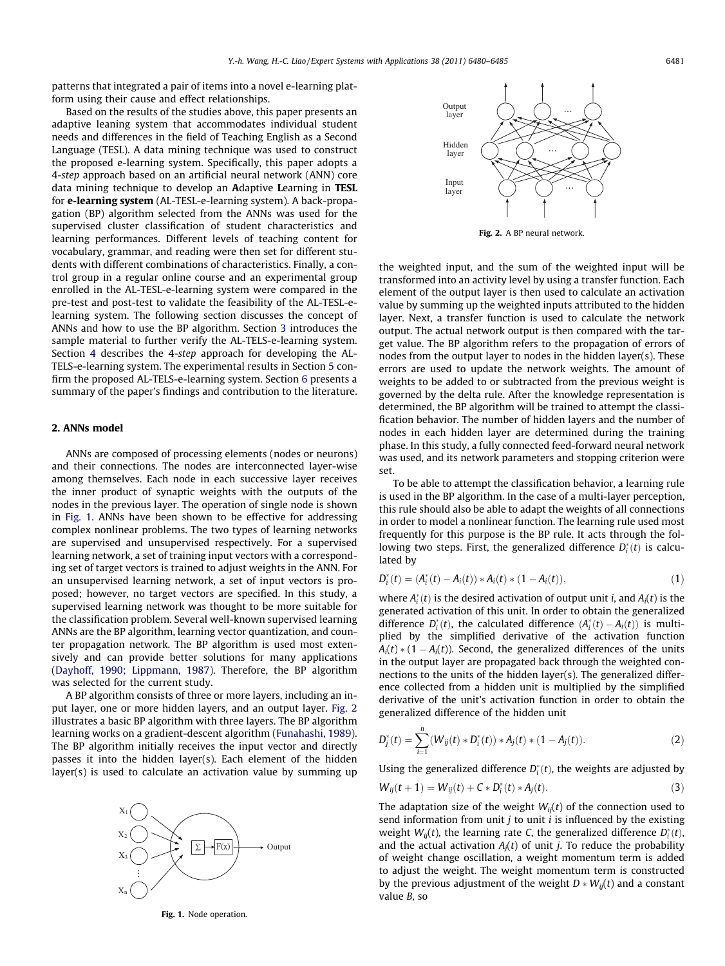patterns that integrated a pair of items into a novel e-learning platform using their cause and effect relationships.

Based on the results of the studies above, this paper presents an adaptive leaning system that accommodates individual student needs and differences in the field of Teaching English as a Second Language (TESL). A data mining technique was used to construct the proposed e-learning system. Specifically, this paper adopts a 4-step approach based on an artificial neural network (ANN) core data mining technique to develop an Adaptive Learning in TESL for e-learning system (AL-TESL-e-learning system). A back-propagation (BP) algorithm selected from the ANNs was used for the supervised cluster classification of student characteristics and learning performances. Different levels of teaching content for vocabulary, grammar, and reading were then set for different students with different combinations of characteristics. Finally, a control group in a regular online course and an experimental group enrolled in the AL-TESL-e-learning system were compared in the pre-test and post-test to validate the feasibility of the AL-TESL-elearning system. The following section discusses the concept of ANNs and how to use the BP algorithm. Section [3](#page--1-0) introduces the sample material to further verify the AL-TELS-e-learning system. Section [4](#page--1-0) describes the 4-step approach for developing the AL-TELS-e-learning system. The experimental results in Section [5](#page--1-0) confirm the proposed AL-TELS-e-learning system. Section [6](#page--1-0) presents a summary of the paper's findings and contribution to the literature.

### 2. ANNs model

ANNs are composed of processing elements (nodes or neurons) and their connections. The nodes are interconnected layer-wise among themselves. Each node in each successive layer receives the inner product of synaptic weights with the outputs of the nodes in the previous layer. The operation of single node is shown in Fig. 1. ANNs have been shown to be effective for addressing complex nonlinear problems. The two types of learning networks are supervised and unsupervised respectively. For a supervised learning network, a set of training input vectors with a corresponding set of target vectors is trained to adjust weights in the ANN. For an unsupervised learning network, a set of input vectors is proposed; however, no target vectors are specified. In this study, a supervised learning network was thought to be more suitable for the classification problem. Several well-known supervised learning ANNs are the BP algorithm, learning vector quantization, and counter propagation network. The BP algorithm is used most extensively and can provide better solutions for many applications ([Dayhoff, 1990; Lippmann, 1987](#page--1-0)). Therefore, the BP algorithm was selected for the current study.

A BP algorithm consists of three or more layers, including an input layer, one or more hidden layers, and an output layer. Fig. 2 illustrates a basic BP algorithm with three layers. The BP algorithm learning works on a gradient-descent algorithm [\(Funahashi, 1989\)](#page--1-0). The BP algorithm initially receives the input vector and directly passes it into the hidden layer(s). Each element of the hidden layer(s) is used to calculate an activation value by summing up



Fig. 1. Node operation.



Fig. 2. A BP neural network.

the weighted input, and the sum of the weighted input will be transformed into an activity level by using a transfer function. Each element of the output layer is then used to calculate an activation value by summing up the weighted inputs attributed to the hidden layer. Next, a transfer function is used to calculate the network output. The actual network output is then compared with the target value. The BP algorithm refers to the propagation of errors of nodes from the output layer to nodes in the hidden layer(s). These errors are used to update the network weights. The amount of weights to be added to or subtracted from the previous weight is governed by the delta rule. After the knowledge representation is determined, the BP algorithm will be trained to attempt the classification behavior. The number of hidden layers and the number of nodes in each hidden layer are determined during the training phase. In this study, a fully connected feed-forward neural network was used, and its network parameters and stopping criterion were set.

To be able to attempt the classification behavior, a learning rule is used in the BP algorithm. In the case of a multi-layer perception, this rule should also be able to adapt the weights of all connections in order to model a nonlinear function. The learning rule used most frequently for this purpose is the BP rule. It acts through the following two steps. First, the generalized difference  $D_i^*(t)$  is calculated by

$$
D_i^*(t) = (A_i^*(t) - A_i(t)) * A_i(t) * (1 - A_i(t)),
$$
\n(1)

where  $A_i^*(t)$  is the desired activation of output unit *i*, and  $A_i(t)$  is the generated activation of this unit. In order to obtain the generalized difference  $D_i^*(t)$ , the calculated difference  $(A_i^*(t) - A_i(t))$  is multiplied by the simplified derivative of the activation function  $A_i(t)*(1-A_i(t))$ . Second, the generalized differences of the units in the output layer are propagated back through the weighted connections to the units of the hidden layer(s). The generalized difference collected from a hidden unit is multiplied by the simplified derivative of the unit's activation function in order to obtain the generalized difference of the hidden unit

$$
D_j^*(t) = \sum_{i=1}^n (W_{ij}(t) * D_i^*(t)) * A_j(t) * (1 - A_j(t)).
$$
\n(2)

Using the generalized difference  $D_i^*(t)$ , the weights are adjusted by

$$
W_{ij}(t+1) = W_{ij}(t) + C * D_i^*(t) * A_j(t).
$$
 (3)

The adaptation size of the weight  $W_{ij}(t)$  of the connection used to send information from unit  $j$  to unit  $i$  is influenced by the existing weight  $W_{ij}(t)$ , the learning rate C, the generalized difference  $D_i^*(t)$ , and the actual activation  $A_i(t)$  of unit *j*. To reduce the probability of weight change oscillation, a weight momentum term is added to adjust the weight. The weight momentum term is constructed by the previous adjustment of the weight  $D*W_{ij}(t)$  and a constant value B, so